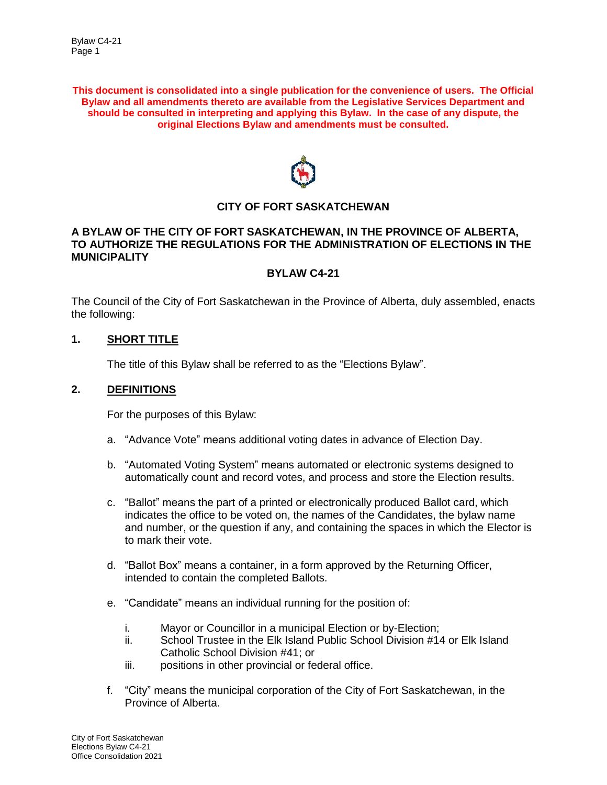**This document is consolidated into a single publication for the convenience of users. The Official Bylaw and all amendments thereto are available from the Legislative Services Department and should be consulted in interpreting and applying this Bylaw. In the case of any dispute, the original Elections Bylaw and amendments must be consulted.**



# **CITY OF FORT SASKATCHEWAN**

#### **A BYLAW OF THE CITY OF FORT SASKATCHEWAN, IN THE PROVINCE OF ALBERTA, TO AUTHORIZE THE REGULATIONS FOR THE ADMINISTRATION OF ELECTIONS IN THE MUNICIPALITY**

#### **BYLAW C4-21**

The Council of the City of Fort Saskatchewan in the Province of Alberta, duly assembled, enacts the following:

# **1. SHORT TITLE**

The title of this Bylaw shall be referred to as the "Elections Bylaw".

#### **2. DEFINITIONS**

For the purposes of this Bylaw:

- a. "Advance Vote" means additional voting dates in advance of Election Day.
- b. "Automated Voting System" means automated or electronic systems designed to automatically count and record votes, and process and store the Election results.
- c. "Ballot" means the part of a printed or electronically produced Ballot card, which indicates the office to be voted on, the names of the Candidates, the bylaw name and number, or the question if any, and containing the spaces in which the Elector is to mark their vote.
- d. "Ballot Box" means a container, in a form approved by the Returning Officer, intended to contain the completed Ballots.
- e. "Candidate" means an individual running for the position of:
	- i. Mayor or Councillor in a municipal Election or by-Election;
	- ii. School Trustee in the Elk Island Public School Division #14 or Elk Island Catholic School Division #41; or
	- iii. positions in other provincial or federal office.
- f. "City" means the municipal corporation of the City of Fort Saskatchewan, in the Province of Alberta.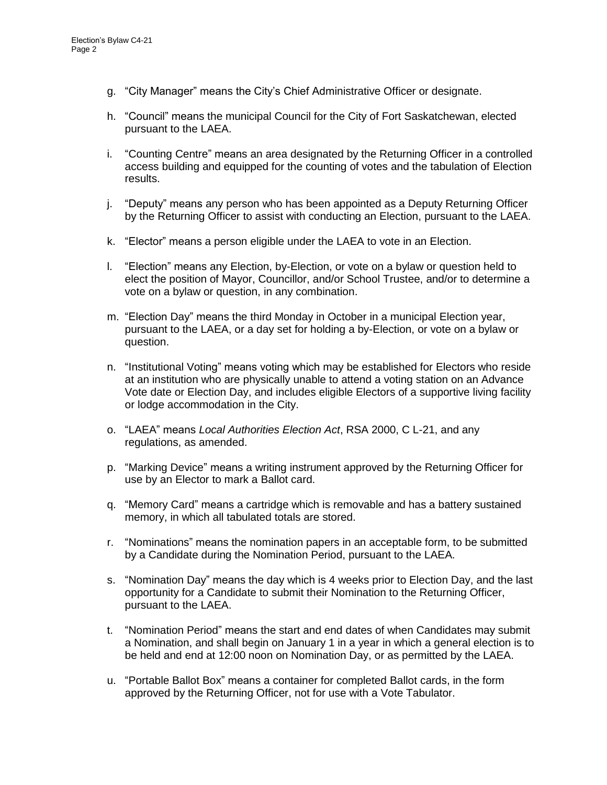- g. "City Manager" means the City's Chief Administrative Officer or designate.
- h. "Council" means the municipal Council for the City of Fort Saskatchewan, elected pursuant to the LAEA.
- i. "Counting Centre" means an area designated by the Returning Officer in a controlled access building and equipped for the counting of votes and the tabulation of Election results.
- j. "Deputy" means any person who has been appointed as a Deputy Returning Officer by the Returning Officer to assist with conducting an Election, pursuant to the LAEA.
- k. "Elector" means a person eligible under the LAEA to vote in an Election.
- l. "Election" means any Election, by-Election, or vote on a bylaw or question held to elect the position of Mayor, Councillor, and/or School Trustee, and/or to determine a vote on a bylaw or question, in any combination.
- m. "Election Day" means the third Monday in October in a municipal Election year, pursuant to the LAEA, or a day set for holding a by-Election, or vote on a bylaw or question.
- n. "Institutional Voting" means voting which may be established for Electors who reside at an institution who are physically unable to attend a voting station on an Advance Vote date or Election Day, and includes eligible Electors of a supportive living facility or lodge accommodation in the City.
- o. "LAEA" means *Local Authorities Election Act*, RSA 2000, C L-21, and any regulations, as amended.
- p. "Marking Device" means a writing instrument approved by the Returning Officer for use by an Elector to mark a Ballot card.
- q. "Memory Card" means a cartridge which is removable and has a battery sustained memory, in which all tabulated totals are stored.
- r. "Nominations" means the nomination papers in an acceptable form, to be submitted by a Candidate during the Nomination Period, pursuant to the LAEA.
- s. "Nomination Day" means the day which is 4 weeks prior to Election Day, and the last opportunity for a Candidate to submit their Nomination to the Returning Officer, pursuant to the LAEA.
- t. "Nomination Period" means the start and end dates of when Candidates may submit a Nomination, and shall begin on January 1 in a year in which a general election is to be held and end at 12:00 noon on Nomination Day, or as permitted by the LAEA.
- u. "Portable Ballot Box" means a container for completed Ballot cards, in the form approved by the Returning Officer, not for use with a Vote Tabulator.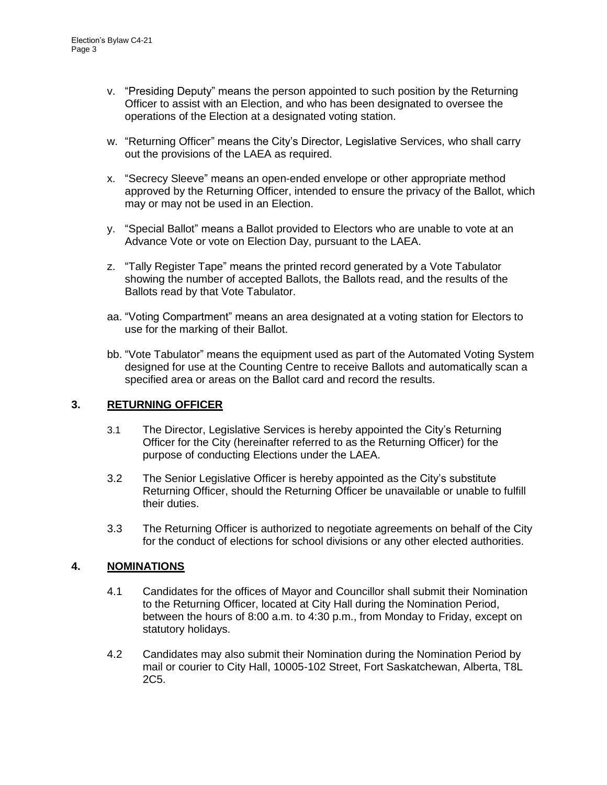- v. "Presiding Deputy" means the person appointed to such position by the Returning Officer to assist with an Election, and who has been designated to oversee the operations of the Election at a designated voting station.
- w. "Returning Officer" means the City's Director, Legislative Services, who shall carry out the provisions of the LAEA as required.
- x. "Secrecy Sleeve" means an open-ended envelope or other appropriate method approved by the Returning Officer, intended to ensure the privacy of the Ballot, which may or may not be used in an Election.
- y. "Special Ballot" means a Ballot provided to Electors who are unable to vote at an Advance Vote or vote on Election Day, pursuant to the LAEA.
- z. "Tally Register Tape" means the printed record generated by a Vote Tabulator showing the number of accepted Ballots, the Ballots read, and the results of the Ballots read by that Vote Tabulator.
- aa. "Voting Compartment" means an area designated at a voting station for Electors to use for the marking of their Ballot.
- bb. "Vote Tabulator" means the equipment used as part of the Automated Voting System designed for use at the Counting Centre to receive Ballots and automatically scan a specified area or areas on the Ballot card and record the results.

# **3. RETURNING OFFICER**

- 3.1 The Director, Legislative Services is hereby appointed the City's Returning Officer for the City (hereinafter referred to as the Returning Officer) for the purpose of conducting Elections under the LAEA.
- 3.2 The Senior Legislative Officer is hereby appointed as the City's substitute Returning Officer, should the Returning Officer be unavailable or unable to fulfill their duties.
- 3.3 The Returning Officer is authorized to negotiate agreements on behalf of the City for the conduct of elections for school divisions or any other elected authorities.

## **4. NOMINATIONS**

- 4.1 Candidates for the offices of Mayor and Councillor shall submit their Nomination to the Returning Officer, located at City Hall during the Nomination Period, between the hours of 8:00 a.m. to 4:30 p.m., from Monday to Friday, except on statutory holidays.
- 4.2 Candidates may also submit their Nomination during the Nomination Period by mail or courier to City Hall, 10005-102 Street, Fort Saskatchewan, Alberta, T8L 2C5.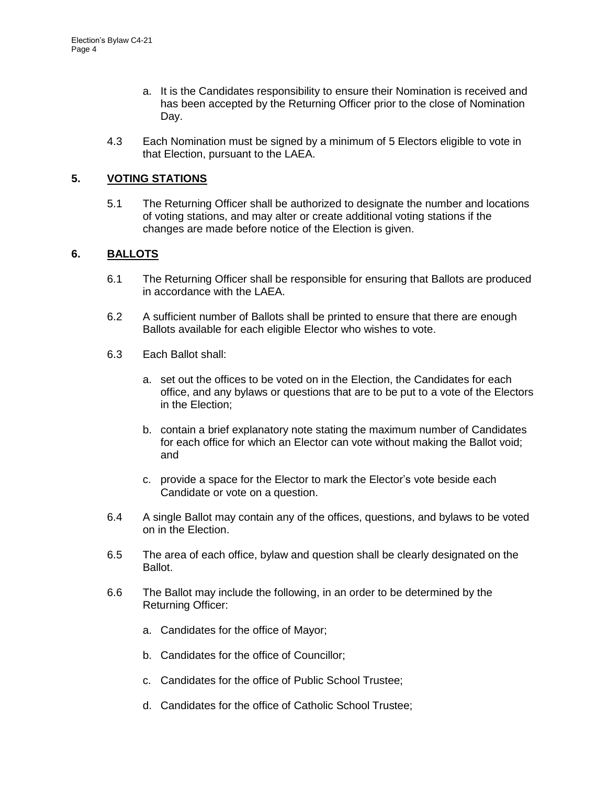- a. It is the Candidates responsibility to ensure their Nomination is received and has been accepted by the Returning Officer prior to the close of Nomination Day.
- 4.3 Each Nomination must be signed by a minimum of 5 Electors eligible to vote in that Election, pursuant to the LAEA.

# **5. VOTING STATIONS**

5.1 The Returning Officer shall be authorized to designate the number and locations of voting stations, and may alter or create additional voting stations if the changes are made before notice of the Election is given.

## **6. BALLOTS**

- 6.1 The Returning Officer shall be responsible for ensuring that Ballots are produced in accordance with the LAEA.
- 6.2 A sufficient number of Ballots shall be printed to ensure that there are enough Ballots available for each eligible Elector who wishes to vote.
- 6.3 Each Ballot shall:
	- a. set out the offices to be voted on in the Election, the Candidates for each office, and any bylaws or questions that are to be put to a vote of the Electors in the Election;
	- b. contain a brief explanatory note stating the maximum number of Candidates for each office for which an Elector can vote without making the Ballot void; and
	- c. provide a space for the Elector to mark the Elector's vote beside each Candidate or vote on a question.
- 6.4 A single Ballot may contain any of the offices, questions, and bylaws to be voted on in the Election.
- 6.5 The area of each office, bylaw and question shall be clearly designated on the Ballot.
- 6.6 The Ballot may include the following, in an order to be determined by the Returning Officer:
	- a. Candidates for the office of Mayor;
	- b. Candidates for the office of Councillor;
	- c. Candidates for the office of Public School Trustee;
	- d. Candidates for the office of Catholic School Trustee;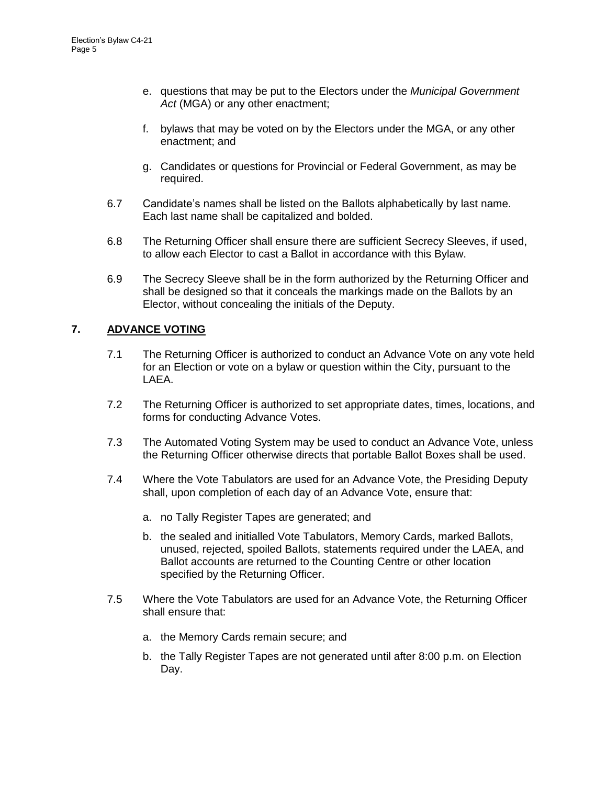- e. questions that may be put to the Electors under the *Municipal Government*  Act (MGA) or any other enactment;
- f. bylaws that may be voted on by the Electors under the MGA, or any other enactment; and
- g. Candidates or questions for Provincial or Federal Government, as may be required.
- 6.7 Candidate's names shall be listed on the Ballots alphabetically by last name. Each last name shall be capitalized and bolded.
- 6.8 The Returning Officer shall ensure there are sufficient Secrecy Sleeves, if used, to allow each Elector to cast a Ballot in accordance with this Bylaw.
- 6.9 The Secrecy Sleeve shall be in the form authorized by the Returning Officer and shall be designed so that it conceals the markings made on the Ballots by an Elector, without concealing the initials of the Deputy.

# **7. ADVANCE VOTING**

- 7.1 The Returning Officer is authorized to conduct an Advance Vote on any vote held for an Election or vote on a bylaw or question within the City, pursuant to the LAEA.
- 7.2 The Returning Officer is authorized to set appropriate dates, times, locations, and forms for conducting Advance Votes.
- 7.3 The Automated Voting System may be used to conduct an Advance Vote, unless the Returning Officer otherwise directs that portable Ballot Boxes shall be used.
- 7.4 Where the Vote Tabulators are used for an Advance Vote, the Presiding Deputy shall, upon completion of each day of an Advance Vote, ensure that:
	- a. no Tally Register Tapes are generated; and
	- b. the sealed and initialled Vote Tabulators, Memory Cards, marked Ballots, unused, rejected, spoiled Ballots, statements required under the LAEA, and Ballot accounts are returned to the Counting Centre or other location specified by the Returning Officer.
- 7.5 Where the Vote Tabulators are used for an Advance Vote, the Returning Officer shall ensure that:
	- a. the Memory Cards remain secure; and
	- b. the Tally Register Tapes are not generated until after 8:00 p.m. on Election Day.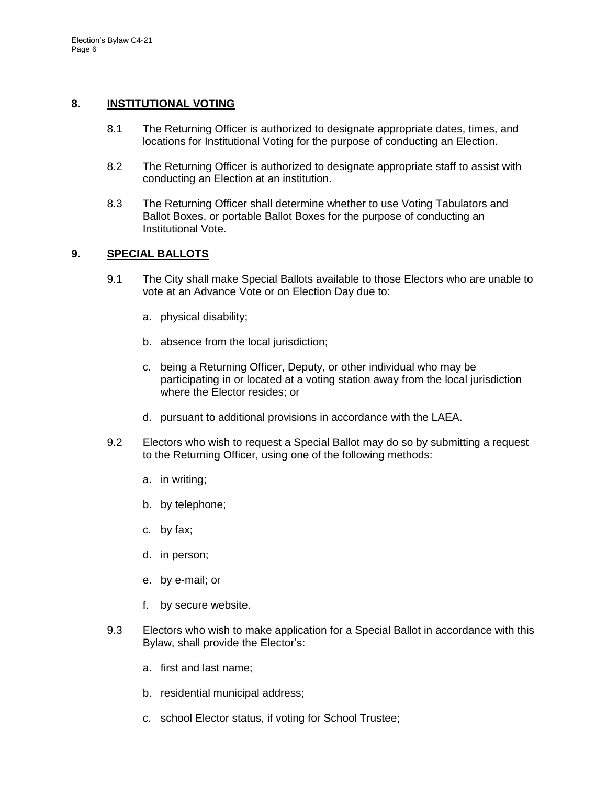#### **8. INSTITUTIONAL VOTING**

- 8.1 The Returning Officer is authorized to designate appropriate dates, times, and locations for Institutional Voting for the purpose of conducting an Election.
- 8.2 The Returning Officer is authorized to designate appropriate staff to assist with conducting an Election at an institution.
- 8.3 The Returning Officer shall determine whether to use Voting Tabulators and Ballot Boxes, or portable Ballot Boxes for the purpose of conducting an Institutional Vote.

#### **9. SPECIAL BALLOTS**

- 9.1 The City shall make Special Ballots available to those Electors who are unable to vote at an Advance Vote or on Election Day due to:
	- a. physical disability;
	- b. absence from the local jurisdiction;
	- c. being a Returning Officer, Deputy, or other individual who may be participating in or located at a voting station away from the local jurisdiction where the Elector resides; or
	- d. pursuant to additional provisions in accordance with the LAEA.
- 9.2 Electors who wish to request a Special Ballot may do so by submitting a request to the Returning Officer, using one of the following methods:
	- a. in writing;
	- b. by telephone;
	- c. by fax;
	- d. in person;
	- e. by e-mail; or
	- f. by secure website.
- 9.3 Electors who wish to make application for a Special Ballot in accordance with this Bylaw, shall provide the Elector's:
	- a. first and last name;
	- b. residential municipal address;
	- c. school Elector status, if voting for School Trustee;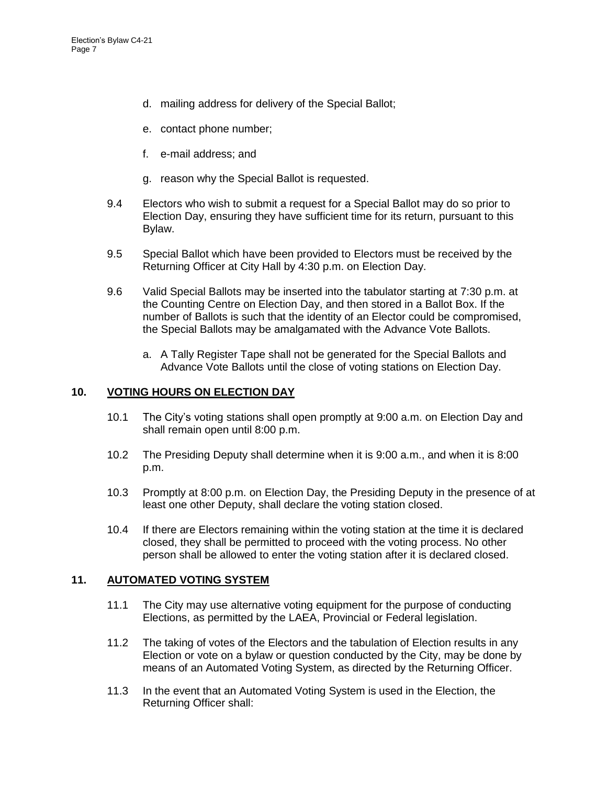- d. mailing address for delivery of the Special Ballot;
- e. contact phone number;
- f. e-mail address; and
- g. reason why the Special Ballot is requested.
- 9.4 Electors who wish to submit a request for a Special Ballot may do so prior to Election Day, ensuring they have sufficient time for its return, pursuant to this Bylaw.
- 9.5 Special Ballot which have been provided to Electors must be received by the Returning Officer at City Hall by 4:30 p.m. on Election Day.
- 9.6 Valid Special Ballots may be inserted into the tabulator starting at 7:30 p.m. at the Counting Centre on Election Day, and then stored in a Ballot Box. If the number of Ballots is such that the identity of an Elector could be compromised, the Special Ballots may be amalgamated with the Advance Vote Ballots.
	- a. A Tally Register Tape shall not be generated for the Special Ballots and Advance Vote Ballots until the close of voting stations on Election Day.

#### **10. VOTING HOURS ON ELECTION DAY**

- 10.1 The City's voting stations shall open promptly at 9:00 a.m. on Election Day and shall remain open until 8:00 p.m.
- 10.2 The Presiding Deputy shall determine when it is 9:00 a.m., and when it is 8:00 p.m.
- 10.3 Promptly at 8:00 p.m. on Election Day, the Presiding Deputy in the presence of at least one other Deputy, shall declare the voting station closed.
- 10.4 If there are Electors remaining within the voting station at the time it is declared closed, they shall be permitted to proceed with the voting process. No other person shall be allowed to enter the voting station after it is declared closed.

## **11. AUTOMATED VOTING SYSTEM**

- 11.1 The City may use alternative voting equipment for the purpose of conducting Elections, as permitted by the LAEA, Provincial or Federal legislation.
- 11.2 The taking of votes of the Electors and the tabulation of Election results in any Election or vote on a bylaw or question conducted by the City, may be done by means of an Automated Voting System, as directed by the Returning Officer.
- 11.3 In the event that an Automated Voting System is used in the Election, the Returning Officer shall: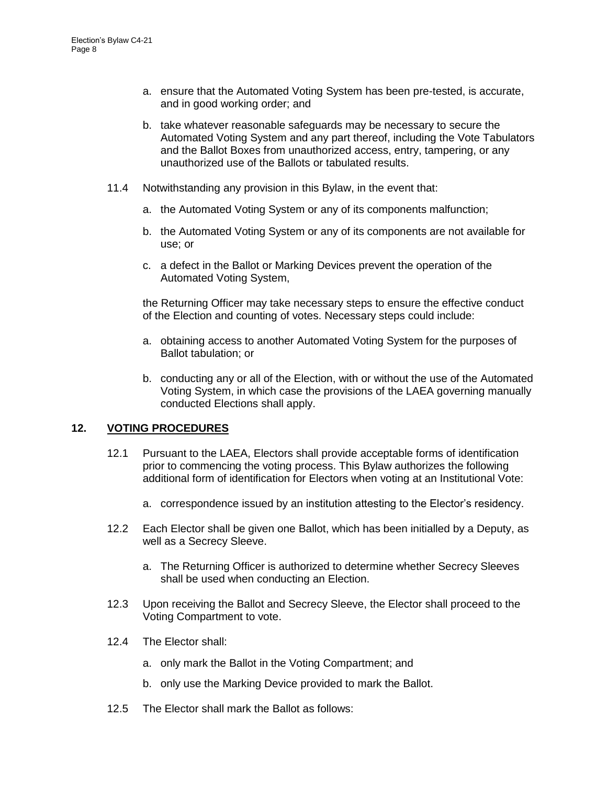- a. ensure that the Automated Voting System has been pre-tested, is accurate, and in good working order; and
- b. take whatever reasonable safeguards may be necessary to secure the Automated Voting System and any part thereof, including the Vote Tabulators and the Ballot Boxes from unauthorized access, entry, tampering, or any unauthorized use of the Ballots or tabulated results.
- 11.4 Notwithstanding any provision in this Bylaw, in the event that:
	- a. the Automated Voting System or any of its components malfunction;
	- b. the Automated Voting System or any of its components are not available for use; or
	- c. a defect in the Ballot or Marking Devices prevent the operation of the Automated Voting System,

the Returning Officer may take necessary steps to ensure the effective conduct of the Election and counting of votes. Necessary steps could include:

- a. obtaining access to another Automated Voting System for the purposes of Ballot tabulation; or
- b. conducting any or all of the Election, with or without the use of the Automated Voting System, in which case the provisions of the LAEA governing manually conducted Elections shall apply.

## **12. VOTING PROCEDURES**

- 12.1 Pursuant to the LAEA, Electors shall provide acceptable forms of identification prior to commencing the voting process. This Bylaw authorizes the following additional form of identification for Electors when voting at an Institutional Vote:
	- a. correspondence issued by an institution attesting to the Elector's residency.
- 12.2 Each Elector shall be given one Ballot, which has been initialled by a Deputy, as well as a Secrecy Sleeve.
	- a. The Returning Officer is authorized to determine whether Secrecy Sleeves shall be used when conducting an Election.
- 12.3 Upon receiving the Ballot and Secrecy Sleeve, the Elector shall proceed to the Voting Compartment to vote.
- 12.4 The Elector shall:
	- a. only mark the Ballot in the Voting Compartment; and
	- b. only use the Marking Device provided to mark the Ballot.
- 12.5 The Elector shall mark the Ballot as follows: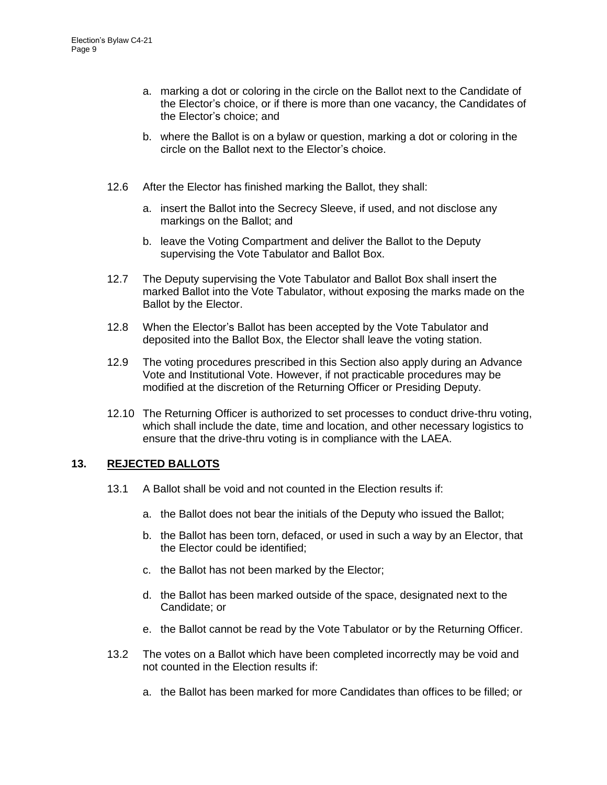- a. marking a dot or coloring in the circle on the Ballot next to the Candidate of the Elector's choice, or if there is more than one vacancy, the Candidates of the Elector's choice; and
- b. where the Ballot is on a bylaw or question, marking a dot or coloring in the circle on the Ballot next to the Elector's choice.
- 12.6 After the Elector has finished marking the Ballot, they shall:
	- a. insert the Ballot into the Secrecy Sleeve, if used, and not disclose any markings on the Ballot; and
	- b. leave the Voting Compartment and deliver the Ballot to the Deputy supervising the Vote Tabulator and Ballot Box.
- 12.7 The Deputy supervising the Vote Tabulator and Ballot Box shall insert the marked Ballot into the Vote Tabulator, without exposing the marks made on the Ballot by the Elector.
- 12.8 When the Elector's Ballot has been accepted by the Vote Tabulator and deposited into the Ballot Box, the Elector shall leave the voting station.
- 12.9 The voting procedures prescribed in this Section also apply during an Advance Vote and Institutional Vote. However, if not practicable procedures may be modified at the discretion of the Returning Officer or Presiding Deputy.
- 12.10 The Returning Officer is authorized to set processes to conduct drive-thru voting, which shall include the date, time and location, and other necessary logistics to ensure that the drive-thru voting is in compliance with the LAEA.

## **13. REJECTED BALLOTS**

- 13.1 A Ballot shall be void and not counted in the Election results if:
	- a. the Ballot does not bear the initials of the Deputy who issued the Ballot;
	- b. the Ballot has been torn, defaced, or used in such a way by an Elector, that the Elector could be identified;
	- c. the Ballot has not been marked by the Elector;
	- d. the Ballot has been marked outside of the space, designated next to the Candidate; or
	- e. the Ballot cannot be read by the Vote Tabulator or by the Returning Officer.
- 13.2 The votes on a Ballot which have been completed incorrectly may be void and not counted in the Election results if:
	- a. the Ballot has been marked for more Candidates than offices to be filled; or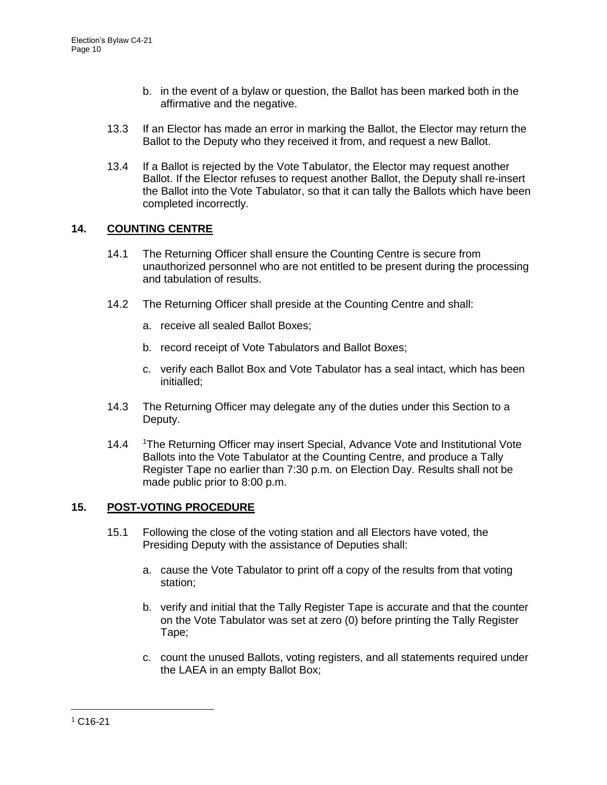- b. in the event of a bylaw or question, the Ballot has been marked both in the affirmative and the negative.
- 13.3 If an Elector has made an error in marking the Ballot, the Elector may return the Ballot to the Deputy who they received it from, and request a new Ballot.
- 13.4 If a Ballot is rejected by the Vote Tabulator, the Elector may request another Ballot. If the Elector refuses to request another Ballot, the Deputy shall re-insert the Ballot into the Vote Tabulator, so that it can tally the Ballots which have been completed incorrectly.

# **14. COUNTING CENTRE**

- 14.1 The Returning Officer shall ensure the Counting Centre is secure from unauthorized personnel who are not entitled to be present during the processing and tabulation of results.
- 14.2 The Returning Officer shall preside at the Counting Centre and shall:
	- a. receive all sealed Ballot Boxes;
	- b. record receipt of Vote Tabulators and Ballot Boxes;
	- c. verify each Ballot Box and Vote Tabulator has a seal intact, which has been initialled;
- 14.3 The Returning Officer may delegate any of the duties under this Section to a Deputy.
- 14.4 <sup>1</sup>The Returning Officer may insert Special, Advance Vote and Institutional Vote Ballots into the Vote Tabulator at the Counting Centre, and produce a Tally Register Tape no earlier than 7:30 p.m. on Election Day. Results shall not be made public prior to 8:00 p.m.

# **15. POST-VOTING PROCEDURE**

- 15.1 Following the close of the voting station and all Electors have voted, the Presiding Deputy with the assistance of Deputies shall:
	- a. cause the Vote Tabulator to print off a copy of the results from that voting station;
	- b. verify and initial that the Tally Register Tape is accurate and that the counter on the Vote Tabulator was set at zero (0) before printing the Tally Register Tape;
	- c. count the unused Ballots, voting registers, and all statements required under the LAEA in an empty Ballot Box;

 $\overline{a}$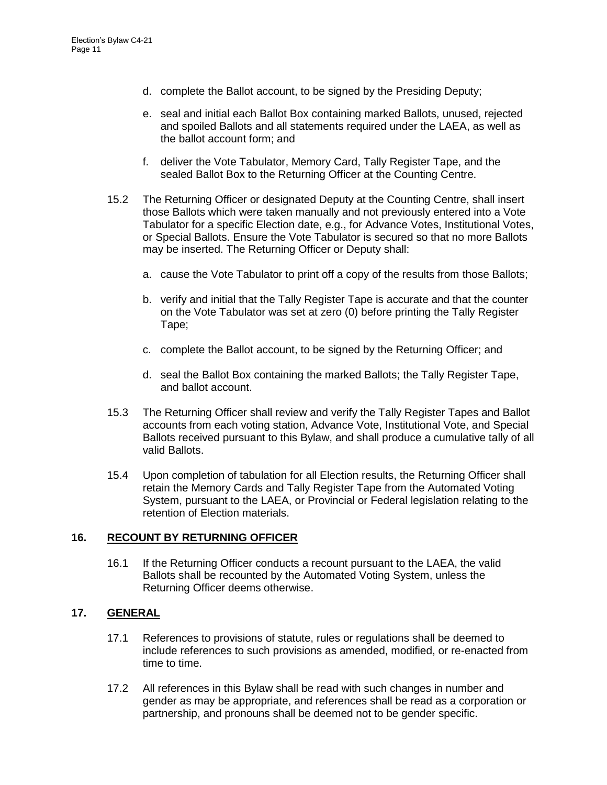- d. complete the Ballot account, to be signed by the Presiding Deputy;
- e. seal and initial each Ballot Box containing marked Ballots, unused, rejected and spoiled Ballots and all statements required under the LAEA, as well as the ballot account form; and
- f. deliver the Vote Tabulator, Memory Card, Tally Register Tape, and the sealed Ballot Box to the Returning Officer at the Counting Centre.
- 15.2 The Returning Officer or designated Deputy at the Counting Centre, shall insert those Ballots which were taken manually and not previously entered into a Vote Tabulator for a specific Election date, e.g., for Advance Votes, Institutional Votes, or Special Ballots. Ensure the Vote Tabulator is secured so that no more Ballots may be inserted. The Returning Officer or Deputy shall:
	- a. cause the Vote Tabulator to print off a copy of the results from those Ballots;
	- b. verify and initial that the Tally Register Tape is accurate and that the counter on the Vote Tabulator was set at zero (0) before printing the Tally Register Tape;
	- c. complete the Ballot account, to be signed by the Returning Officer; and
	- d. seal the Ballot Box containing the marked Ballots; the Tally Register Tape, and ballot account.
- 15.3 The Returning Officer shall review and verify the Tally Register Tapes and Ballot accounts from each voting station, Advance Vote, Institutional Vote, and Special Ballots received pursuant to this Bylaw, and shall produce a cumulative tally of all valid Ballots.
- 15.4 Upon completion of tabulation for all Election results, the Returning Officer shall retain the Memory Cards and Tally Register Tape from the Automated Voting System, pursuant to the LAEA, or Provincial or Federal legislation relating to the retention of Election materials.

## **16. RECOUNT BY RETURNING OFFICER**

16.1 If the Returning Officer conducts a recount pursuant to the LAEA, the valid Ballots shall be recounted by the Automated Voting System, unless the Returning Officer deems otherwise.

## **17. GENERAL**

- 17.1 References to provisions of statute, rules or regulations shall be deemed to include references to such provisions as amended, modified, or re-enacted from time to time.
- 17.2 All references in this Bylaw shall be read with such changes in number and gender as may be appropriate, and references shall be read as a corporation or partnership, and pronouns shall be deemed not to be gender specific.